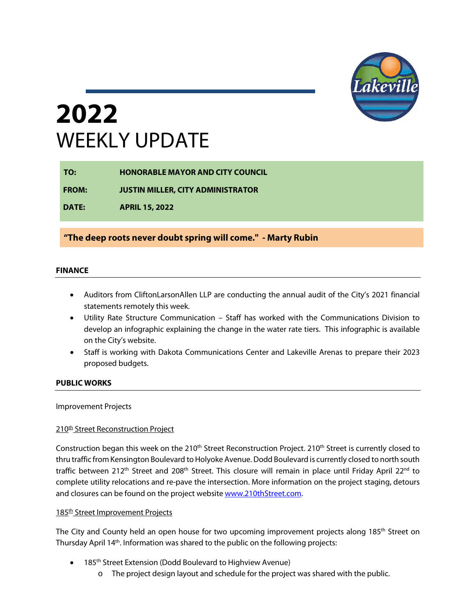

# **2022**  WEEKLY UPDATE

| TO:          | <b>HONORABLE MAYOR AND CITY COUNCIL</b>  |
|--------------|------------------------------------------|
| <b>FROM:</b> | <b>JUSTIN MILLER, CITY ADMINISTRATOR</b> |
| <b>DATE:</b> | <b>APRIL 15, 2022</b>                    |

### **"The deep roots never doubt spring will come." - Marty Rubin**

#### **FINANCE**

- Auditors from CliftonLarsonAllen LLP are conducting the annual audit of the City's 2021 financial statements remotely this week.
- Utility Rate Structure Communication Staff has worked with the Communications Division to develop an infographic explaining the change in the water rate tiers. This infographic is available on the City's website.
- Staff is working with Dakota Communications Center and Lakeville Arenas to prepare their 2023 proposed budgets.

#### **PUBLIC WORKS**

#### Improvement Projects

#### 210<sup>th</sup> Street Reconstruction Project

Construction began this week on the 210<sup>th</sup> Street Reconstruction Project. 210<sup>th</sup> Street is currently closed to thru traffic from Kensington Boulevard to Holyoke Avenue. Dodd Boulevard is currently closed to north south traffic between 212<sup>th</sup> Street and 208<sup>th</sup> Street. This closure will remain in place until Friday April 22<sup>nd</sup> to complete utility relocations and re-pave the intersection. More information on the project staging, detours and closures can be found on the project website www.210thStreet.com.

#### 185<sup>th</sup> Street Improvement Projects

The City and County held an open house for two upcoming improvement projects along 185<sup>th</sup> Street on Thursday April 14<sup>th</sup>. Information was shared to the public on the following projects:

- 185<sup>th</sup> Street Extension (Dodd Boulevard to Highview Avenue)
	- o The project design layout and schedule for the project was shared with the public.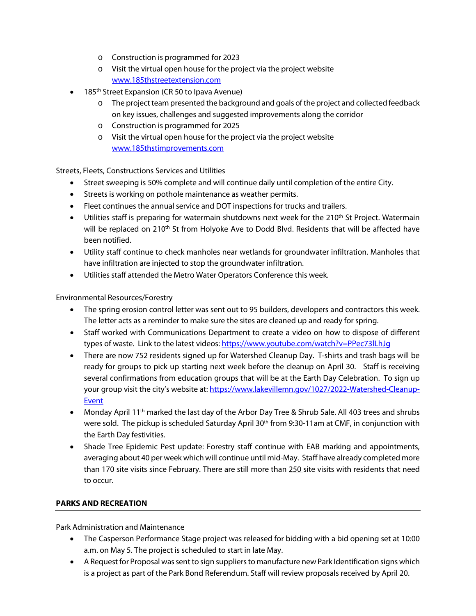- o Construction is programmed for 2023
- o Visit the virtual open house for the project via the project website [www.185thstreetextension.com](http://www.185thstreetextension.com/)
- 185<sup>th</sup> Street Expansion (CR 50 to Ipava Avenue)
	- o The project team presented the background and goals of the project and collected feedback on key issues, challenges and suggested improvements along the corridor
	- o Construction is programmed for 2025
	- o Visit the virtual open house for the project via the project website [www.185thstimprovements.com](http://www.185thstimprovements.com/)

Streets, Fleets, Constructions Services and Utilities

- Street sweeping is 50% complete and will continue daily until completion of the entire City.
- Streets is working on pothole maintenance as weather permits.
- Fleet continues the annual service and DOT inspections for trucks and trailers.
- Utilities staff is preparing for watermain shutdowns next week for the 210<sup>th</sup> St Project. Watermain will be replaced on 210<sup>th</sup> St from Holyoke Ave to Dodd Blvd. Residents that will be affected have been notified.
- Utility staff continue to check manholes near wetlands for groundwater infiltration. Manholes that have infiltration are injected to stop the groundwater infiltration.
- Utilities staff attended the Metro Water Operators Conference this week.

Environmental Resources/Forestry

- The spring erosion control letter was sent out to 95 builders, developers and contractors this week. The letter acts as a reminder to make sure the sites are cleaned up and ready for spring.
- Staff worked with Communications Department to create a video on how to dispose of different types of waste. Link to the latest videos[: https://www.youtube.com/watch?v=PPec73lLhJg](https://www.youtube.com/watch?v=PPec73lLhJg)
- There are now 752 residents signed up for Watershed Cleanup Day. T-shirts and trash bags will be ready for groups to pick up starting next week before the cleanup on April 30. Staff is receiving several confirmations from education groups that will be at the Earth Day Celebration. To sign up your group visit the city's website at[: https://www.lakevillemn.gov/1027/2022-Watershed-Cleanup-](https://www.lakevillemn.gov/1027/2022-Watershed-Cleanup-Event)[Event](https://www.lakevillemn.gov/1027/2022-Watershed-Cleanup-Event)
- Monday April 11<sup>th</sup> marked the last day of the Arbor Day Tree & Shrub Sale. All 403 trees and shrubs were sold. The pickup is scheduled Saturday April 30<sup>th</sup> from 9:30-11am at CMF, in conjunction with the Earth Day festivities.
- Shade Tree Epidemic Pest update: Forestry staff continue with EAB marking and appointments, averaging about 40 per week which will continue until mid-May. Staff have already completed more than 170 site visits since February. There are still more than 250 site visits with residents that need to occur.

#### **PARKS AND RECREATION**

Park Administration and Maintenance

- The Casperson Performance Stage project was released for bidding with a bid opening set at 10:00 a.m. on May 5. The project is scheduled to start in late May.
- A Request for Proposal was sent to sign suppliers to manufacture new Park Identification signs which is a project as part of the Park Bond Referendum. Staff will review proposals received by April 20.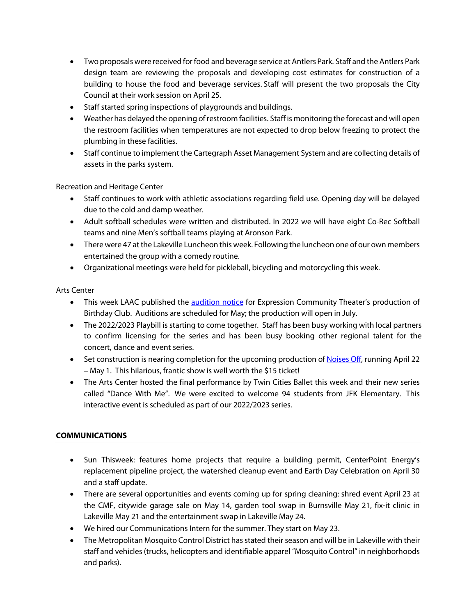- Two proposals were received for food and beverage service at Antlers Park. Staff and the Antlers Park design team are reviewing the proposals and developing cost estimates for construction of a building to house the food and beverage services. Staff will present the two proposals the City Council at their work session on April 25.
- Staff started spring inspections of playgrounds and buildings.
- Weather has delayed the opening of restroom facilities. Staff is monitoring the forecast and will open the restroom facilities when temperatures are not expected to drop below freezing to protect the plumbing in these facilities.
- Staff continue to implement the Cartegraph Asset Management System and are collecting details of assets in the parks system.

Recreation and Heritage Center

- Staff continues to work with athletic associations regarding field use. Opening day will be delayed due to the cold and damp weather.
- Adult softball schedules were written and distributed. In 2022 we will have eight Co-Rec Softball teams and nine Men's softball teams playing at Aronson Park.
- There were 47 at the Lakeville Luncheon this week. Following the luncheon one of our own members entertained the group with a comedy routine.
- Organizational meetings were held for pickleball, bicycling and motorcycling this week.

Arts Center

- This week LAAC published the [audition notice](https://minnesotaplaylist.com/classified/audition-notice-birthday-club) for Expression Community Theater's production of Birthday Club. Auditions are scheduled for May; the production will open in July.
- The 2022/2023 Playbill is starting to come together. Staff has been busy working with local partners to confirm licensing for the series and has been busy booking other regional talent for the concert, dance and event series.
- Set construction is nearing completion for the upcoming production of **Noises Off**, running April 22 – May 1. This hilarious, frantic show is well worth the \$15 ticket!
- The Arts Center hosted the final performance by Twin Cities Ballet this week and their new series called "Dance With Me". We were excited to welcome 94 students from JFK Elementary. This interactive event is scheduled as part of our 2022/2023 series.

### **COMMUNICATIONS**

- Sun Thisweek: features home projects that require a building permit, CenterPoint Energy's replacement pipeline project, the watershed cleanup event and Earth Day Celebration on April 30 and a staff update.
- There are several opportunities and events coming up for spring cleaning: shred event April 23 at the CMF, citywide garage sale on May 14, garden tool swap in Burnsville May 21, fix-it clinic in Lakeville May 21 and the entertainment swap in Lakeville May 24.
- We hired our Communications Intern for the summer. They start on May 23.
- The Metropolitan Mosquito Control District has stated their season and will be in Lakeville with their staff and vehicles (trucks, helicopters and identifiable apparel "Mosquito Control" in neighborhoods and parks).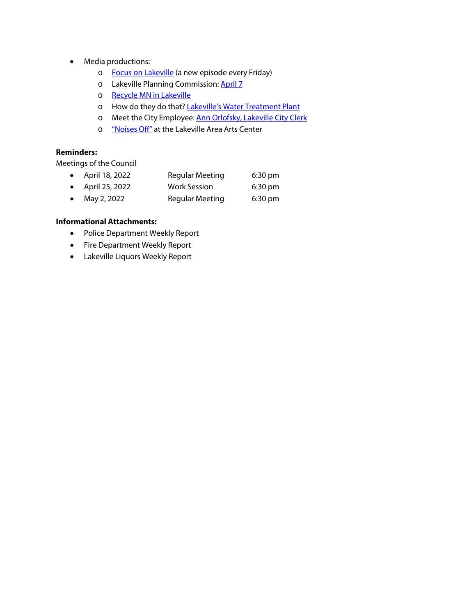- Media productions:
	- o Focus on Lakeville (a new episode every Friday)
	- o Lakeville Planning Commission: [April 7](https://youtu.be/6Gh5Cd2Qc0s)
	- o [Recycle MN in Lakeville](https://youtu.be/PPec73lLhJg)
	- o How do they do that[? Lakeville's Water Treatment Plant](https://youtu.be/GW-y1VT9VLE)
	- o Meet the City Employee[: Ann Orlofsky, Lakeville City Clerk](https://youtu.be/bUYxRaa2PHU)
	- o ["Noises Off"](https://youtu.be/hWuf2jukqPY) at the Lakeville Area Arts Center

### **Reminders:**

Meetings of the Council

| • April 18, 2022         | <b>Regular Meeting</b> | $6:30 \text{ pm}$ |
|--------------------------|------------------------|-------------------|
| $\bullet$ April 25, 2022 | Work Session           | $6:30 \text{ pm}$ |
| • May 2, 2022            | <b>Regular Meeting</b> | $6:30 \text{ pm}$ |

#### **Informational Attachments:**

- Police Department Weekly Report
- Fire Department Weekly Report
- Lakeville Liquors Weekly Report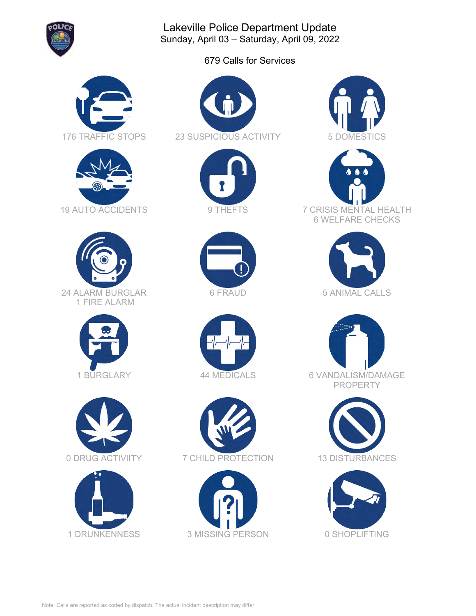

Lakeville Police Department Update Sunday, April 03 – Saturday, April 09, 2022

679 Calls for Services



































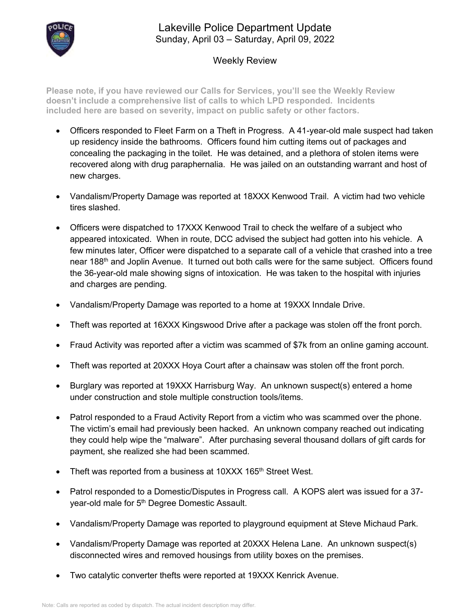

## Lakeville Police Department Update Sunday, April 03 – Saturday, April 09, 2022

## Weekly Review

**Please note, if you have reviewed our Calls for Services, you'll see the Weekly Review doesn't include a comprehensive list of calls to which LPD responded. Incidents included here are based on severity, impact on public safety or other factors.**

- Officers responded to Fleet Farm on a Theft in Progress. A 41-year-old male suspect had taken up residency inside the bathrooms. Officers found him cutting items out of packages and concealing the packaging in the toilet. He was detained, and a plethora of stolen items were recovered along with drug paraphernalia. He was jailed on an outstanding warrant and host of new charges.
- Vandalism/Property Damage was reported at 18XXX Kenwood Trail. A victim had two vehicle tires slashed.
- Officers were dispatched to 17XXX Kenwood Trail to check the welfare of a subject who appeared intoxicated. When in route, DCC advised the subject had gotten into his vehicle. A few minutes later, Officer were dispatched to a separate call of a vehicle that crashed into a tree near 188<sup>th</sup> and Joplin Avenue. It turned out both calls were for the same subject. Officers found the 36-year-old male showing signs of intoxication. He was taken to the hospital with injuries and charges are pending.
- Vandalism/Property Damage was reported to a home at 19XXX Inndale Drive.
- Theft was reported at 16XXX Kingswood Drive after a package was stolen off the front porch.
- Fraud Activity was reported after a victim was scammed of \$7k from an online gaming account.
- Theft was reported at 20XXX Hoya Court after a chainsaw was stolen off the front porch.
- Burglary was reported at 19XXX Harrisburg Way. An unknown suspect(s) entered a home under construction and stole multiple construction tools/items.
- Patrol responded to a Fraud Activity Report from a victim who was scammed over the phone. The victim's email had previously been hacked. An unknown company reached out indicating they could help wipe the "malware". After purchasing several thousand dollars of gift cards for payment, she realized she had been scammed.
- Theft was reported from a business at 10XXX 165<sup>th</sup> Street West.
- Patrol responded to a Domestic/Disputes in Progress call. A KOPS alert was issued for a 37 year-old male for 5<sup>th</sup> Degree Domestic Assault.
- Vandalism/Property Damage was reported to playground equipment at Steve Michaud Park.
- Vandalism/Property Damage was reported at 20XXX Helena Lane. An unknown suspect(s) disconnected wires and removed housings from utility boxes on the premises.
- Two catalytic converter thefts were reported at 19XXX Kenrick Avenue.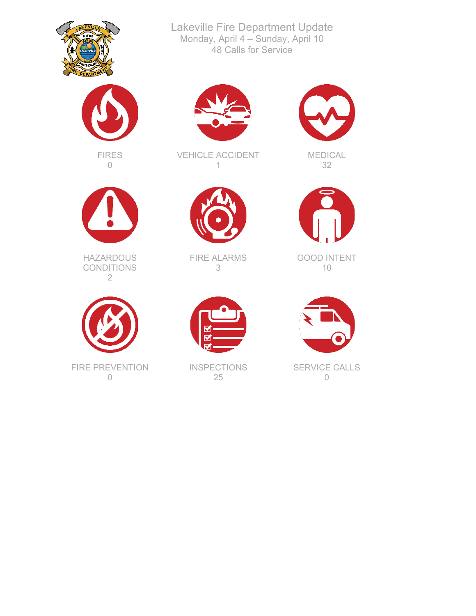



FIRES 0



**HAZARDOUS** CONDITIONS 2



0



Lakeville Fire Department Update Monday, April 4 – Sunday, April 10 48 Calls for Service

VEHICLE ACCIDENT 1



FIRE ALARMS 3



**INSPECTIONS** 25



MEDICAL 32



GOOD INTENT 10



SERVICE CALLS 0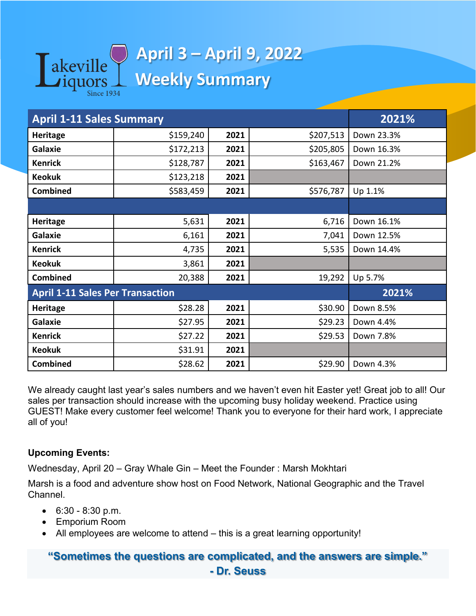

## **April 3 – April 9, 2022 Weekly Summary**

| <b>April 1-11 Sales Summary</b>         | 2021%     |      |           |            |
|-----------------------------------------|-----------|------|-----------|------------|
| <b>Heritage</b>                         | \$159,240 | 2021 | \$207,513 | Down 23.3% |
| <b>Galaxie</b>                          | \$172,213 | 2021 | \$205,805 | Down 16.3% |
| <b>Kenrick</b>                          | \$128,787 | 2021 | \$163,467 | Down 21.2% |
| <b>Keokuk</b>                           | \$123,218 | 2021 |           |            |
| <b>Combined</b>                         | \$583,459 | 2021 | \$576,787 | Up 1.1%    |
|                                         |           |      |           |            |
| <b>Heritage</b>                         | 5,631     | 2021 | 6,716     | Down 16.1% |
| Galaxie                                 | 6,161     | 2021 | 7,041     | Down 12.5% |
| <b>Kenrick</b>                          | 4,735     | 2021 | 5,535     | Down 14.4% |
| <b>Keokuk</b>                           | 3,861     | 2021 |           |            |
| Combined                                | 20,388    | 2021 | 19,292    | Up 5.7%    |
| <b>April 1-11 Sales Per Transaction</b> | 2021%     |      |           |            |
| <b>Heritage</b>                         | \$28.28   | 2021 | \$30.90   | Down 8.5%  |
| Galaxie                                 | \$27.95   | 2021 | \$29.23   | Down 4.4%  |
| <b>Kenrick</b>                          | \$27.22   | 2021 | \$29.53   | Down 7.8%  |
| <b>Keokuk</b>                           | \$31.91   | 2021 |           |            |
| <b>Combined</b>                         | \$28.62   | 2021 | \$29.90   | Down 4.3%  |

We already caught last year's sales numbers and we haven't even hit Easter yet! Great job to all! Our sales per transaction should increase with the upcoming busy holiday weekend. Practice using GUEST! Make every customer feel welcome! Thank you to everyone for their hard work, I appreciate all of you!

## **Upcoming Events:**

Wednesday, April 20 – Gray Whale Gin – Meet the Founder : Marsh Mokhtari

Marsh is a food and adventure show host on Food Network, National Geographic and the Travel Channel.

- $\bullet$  6:30 8:30 p.m.
- Emporium Room
- All employees are welcome to attend this is a great learning opportunity!

## **"Sometimes the questions are complicated, and the answers are simple." - Dr. Seuss**